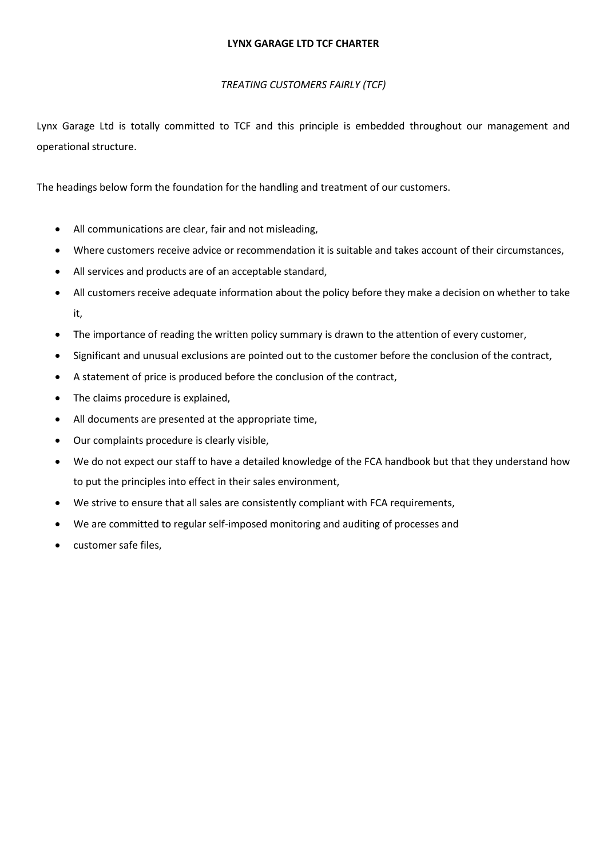#### **LYNX GARAGE LTD TCF CHARTER**

#### *TREATING CUSTOMERS FAIRLY (TCF)*

Lynx Garage Ltd is totally committed to TCF and this principle is embedded throughout our management and operational structure.

The headings below form the foundation for the handling and treatment of our customers.

- All communications are clear, fair and not misleading,
- Where customers receive advice or recommendation it is suitable and takes account of their circumstances,
- All services and products are of an acceptable standard,
- All customers receive adequate information about the policy before they make a decision on whether to take it,
- The importance of reading the written policy summary is drawn to the attention of every customer,
- Significant and unusual exclusions are pointed out to the customer before the conclusion of the contract,
- A statement of price is produced before the conclusion of the contract,
- The claims procedure is explained,
- All documents are presented at the appropriate time,
- Our complaints procedure is clearly visible,
- We do not expect our staff to have a detailed knowledge of the FCA handbook but that they understand how to put the principles into effect in their sales environment,
- We strive to ensure that all sales are consistently compliant with FCA requirements,
- We are committed to regular self-imposed monitoring and auditing of processes and
- customer safe files,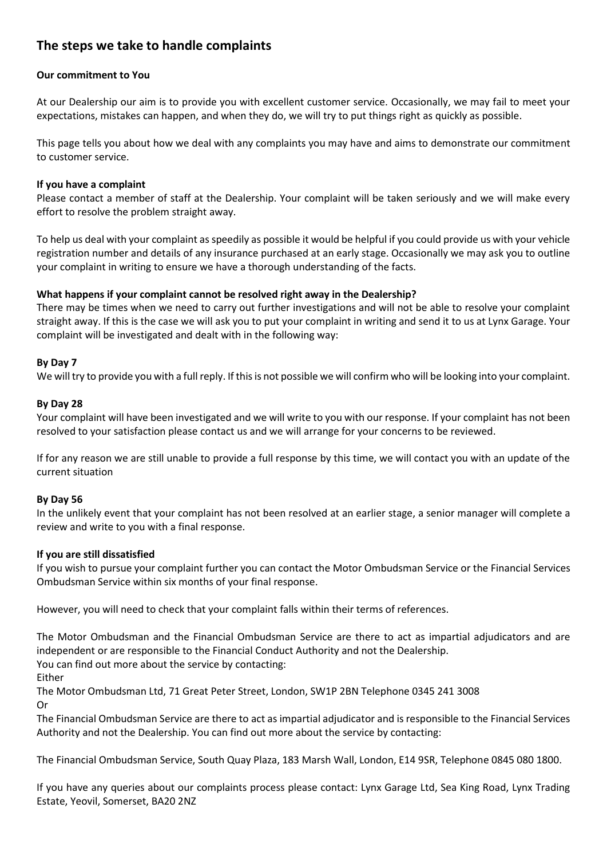### **The steps we take to handle complaints**

#### **Our commitment to You**

At our Dealership our aim is to provide you with excellent customer service. Occasionally, we may fail to meet your expectations, mistakes can happen, and when they do, we will try to put things right as quickly as possible.

This page tells you about how we deal with any complaints you may have and aims to demonstrate our commitment to customer service.

#### **If you have a complaint**

Please contact a member of staff at the Dealership. Your complaint will be taken seriously and we will make every effort to resolve the problem straight away.

To help us deal with your complaint as speedily as possible it would be helpful if you could provide us with your vehicle registration number and details of any insurance purchased at an early stage. Occasionally we may ask you to outline your complaint in writing to ensure we have a thorough understanding of the facts.

#### **What happens if your complaint cannot be resolved right away in the Dealership?**

There may be times when we need to carry out further investigations and will not be able to resolve your complaint straight away. If this is the case we will ask you to put your complaint in writing and send it to us at Lynx Garage. Your complaint will be investigated and dealt with in the following way:

#### **By Day 7**

We will try to provide you with a full reply. If this is not possible we will confirm who will be looking into your complaint.

#### **By Day 28**

Your complaint will have been investigated and we will write to you with our response. If your complaint has not been resolved to your satisfaction please contact us and we will arrange for your concerns to be reviewed.

If for any reason we are still unable to provide a full response by this time, we will contact you with an update of the current situation

#### **By Day 56**

In the unlikely event that your complaint has not been resolved at an earlier stage, a senior manager will complete a review and write to you with a final response.

#### **If you are still dissatisfied**

If you wish to pursue your complaint further you can contact the Motor Ombudsman Service or the Financial Services Ombudsman Service within six months of your final response.

However, you will need to check that your complaint falls within their terms of references.

The Motor Ombudsman and the Financial Ombudsman Service are there to act as impartial adjudicators and are independent or are responsible to the Financial Conduct Authority and not the Dealership.

You can find out more about the service by contacting:

Either

The Motor Ombudsman Ltd, 71 Great Peter Street, London, SW1P 2BN Telephone 0345 241 3008

Or

The Financial Ombudsman Service are there to act as impartial adjudicator and is responsible to the Financial Services Authority and not the Dealership. You can find out more about the service by contacting:

The Financial Ombudsman Service, South Quay Plaza, 183 Marsh Wall, London, E14 9SR, Telephone 0845 080 1800.

If you have any queries about our complaints process please contact: Lynx Garage Ltd, Sea King Road, Lynx Trading Estate, Yeovil, Somerset, BA20 2NZ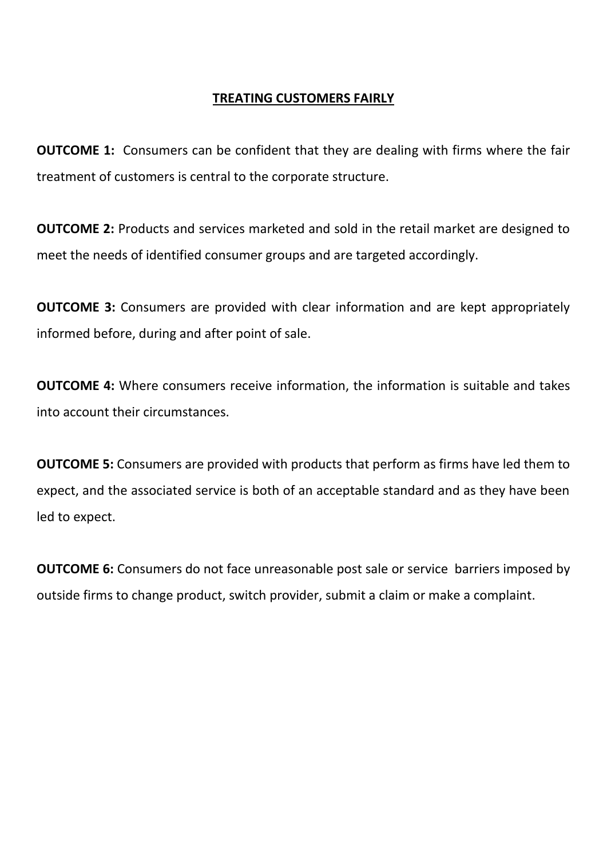## **TREATING CUSTOMERS FAIRLY**

**OUTCOME 1:** Consumers can be confident that they are dealing with firms where the fair treatment of customers is central to the corporate structure.

**OUTCOME 2:** Products and services marketed and sold in the retail market are designed to meet the needs of identified consumer groups and are targeted accordingly.

**OUTCOME 3:** Consumers are provided with clear information and are kept appropriately informed before, during and after point of sale.

**OUTCOME 4:** Where consumers receive information, the information is suitable and takes into account their circumstances.

**OUTCOME 5:** Consumers are provided with products that perform as firms have led them to expect, and the associated service is both of an acceptable standard and as they have been led to expect.

**OUTCOME 6:** Consumers do not face unreasonable post sale or service barriers imposed by outside firms to change product, switch provider, submit a claim or make a complaint.